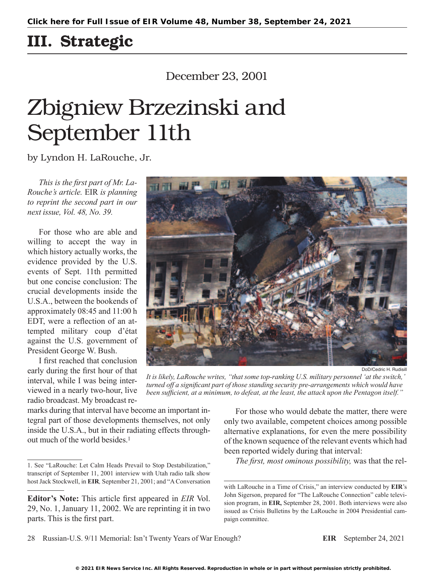## III. Strategic

## December 23, 2001

# Zbigniew Brzezinski and September 11th

by Lyndon H. LaRouche, Jr.

*This is the first part of Mr. La-Rouche's article.* EIR *is planning to reprint the second part in our next issue, Vol. 48, No. 39.*

For those who are able and willing to accept the way in which history actually works, the evidence provided by the U.S. events of Sept. 11th permitted but one concise conclusion: The crucial developments inside the U.S.A., between the bookends of approximately 08:45 and 11:00 h EDT, were a reflection of an attempted military coup d'état against the U.S. government of President George W. Bush.

I first reached that conclusion early during the first hour of that interval, while I was being interviewed in a nearly two-hour, live radio broadcast. My broadcast reDoD/Cedric H. Rudisill

*It is likely, LaRouche writes, "that some top-ranking U.S. military personnel 'at the switch,' turned off a significant part of those standing security pre-arrangements which would have been sufficient, at a minimum, to defeat, at the least, the attack upon the Pentagon itself."*

marks during that interval have become an important integral part of those developments themselves, not only inside the U.S.A., but in their radiating effects throughout much of the world besides.1

For those who would debate the matter, there were only two available, competent choices among possible alternative explanations, for even the mere possibility of the known sequence of the relevant events which had been reported widely during that interval:

*The first, most ominous possibility,* was that the rel-

28 Russian-U.S. 9/11 Memorial: Isn't Twenty Years of War Enough? **EIR** September 24, 2021

<sup>1.</sup> See "LaRouche: Let Calm Heads Prevail to Stop Destabilization," transcript of September 11, 2001 interview with Utah radio talk show host Jack Stockwell, in **EIR***,* September 21, 2001; and "A Conversation

**Editor's Note:** This article first appeared in *EIR* Vol. 29, No. 1, January 11, 2002. We are reprinting it in two parts. This is the first part.

with LaRouche in a Time of Crisis," an interview conducted by **EIR**'s John Sigerson, prepared for "The LaRouche Connection" cable television program, in **EIR,** September 28, 2001. Both interviews were also issued as Crisis Bulletins by the LaRouche in 2004 Presidential campaign committee.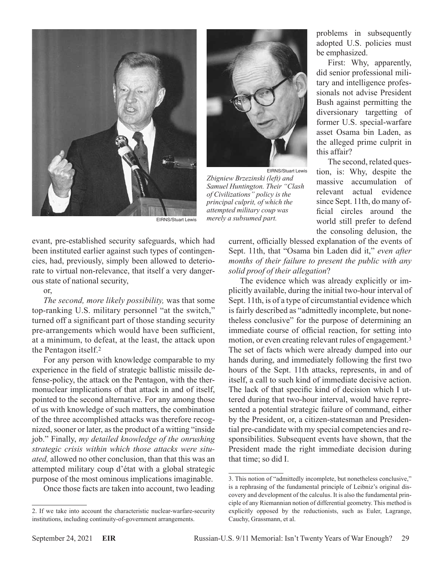



EIRNS/Stuart Lewis *Zbigniew Brzezinski (left) and Samuel Huntington. Their "Clash of Civilizations" policy is the principal culprit, of which the attempted military coup was merely a subsumed part.*

problems in subsequently adopted U.S. policies must be emphasized.

First: Why, apparently, did senior professional military and intelligence professionals not advise President Bush against permitting the diversionary targetting of former U.S. special-warfare asset Osama bin Laden, as the alleged prime culprit in this affair?

The second, related question, is: Why, despite the massive accumulation of relevant actual evidence since Sept. 11th, do many official circles around the world still prefer to defend the consoling delusion, the

current, officially blessed explanation of the events of Sept. 11th, that "Osama bin Laden did it," *even after months of their failure to present the public with any solid proof of their allegation*?

The evidence which was already explicitly or implicitly available, during the initial two-hour interval of Sept. 11th, is of a type of circumstantial evidence which is fairly described as "admittedly incomplete, but nonetheless conclusive" for the purpose of determining an immediate course of official reaction, for setting into motion, or even creating relevant rules of engagement.3 The set of facts which were already dumped into our hands during, and immediately following the first two hours of the Sept. 11th attacks, represents, in and of itself, a call to such kind of immediate decisive action. The lack of that specific kind of decision which I uttered during that two-hour interval, would have represented a potential strategic failure of command, either by the President, or, a citizen-statesman and Presidential pre-candidate with my special competencies and responsibilities. Subsequent events have shown, that the President made the right immediate decision during that time; so did I.

EIRNS/Stuart Lewis

evant, pre-established security safeguards, which had been instituted earlier against such types of contingencies, had, previously, simply been allowed to deteriorate to virtual non-relevance, that itself a very dangerous state of national security,

#### or,

*The second, more likely possibility,* was that some top-ranking U.S. military personnel "at the switch," turned off a significant part of those standing security pre-arrangements which would have been sufficient, at a minimum, to defeat, at the least, the attack upon the Pentagon itself.2

For any person with knowledge comparable to my experience in the field of strategic ballistic missile defense-policy, the attack on the Pentagon, with the thermonuclear implications of that attack in and of itself, pointed to the second alternative. For any among those of us with knowledge of such matters, the combination of the three accomplished attacks was therefore recognized, sooner or later, as the product of a witting "inside job." Finally, *my detailed knowledge of the onrushing strategic crisis within which those attacks were situated,* allowed no other conclusion, than that this was an attempted military coup d'état with a global strategic purpose of the most ominous implications imaginable.

Once those facts are taken into account, two leading

<sup>3.</sup> This notion of "admittedly incomplete, but nonetheless conclusive," is a rephrasing of the fundamental principle of Leibniz's original discovery and development of the calculus. It is also the fundamental principle of any Riemannian notion of differential geometry. This method is explicitly opposed by the reductionists, such as Euler, Lagrange, Cauchy, Grassmann, et al.

<sup>2.</sup> If we take into account the characteristic nuclear-warfare-security institutions, including continuity-of-government arrangements.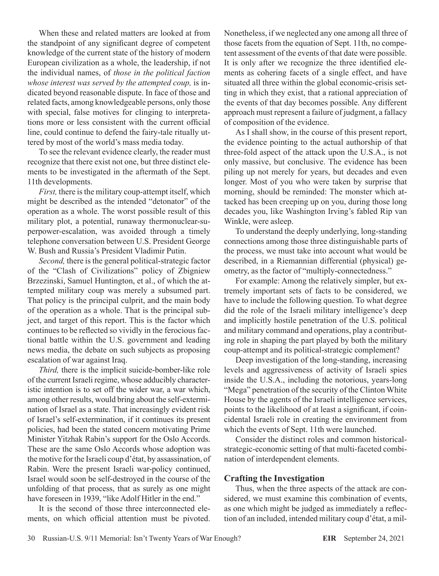When these and related matters are looked at from the standpoint of any significant degree of competent knowledge of the current state of the history of modern European civilization as a whole, the leadership, if not the individual names, of *those in the political faction whose interest was served by the attempted coup,* is indicated beyond reasonable dispute. In face of those and related facts, among knowledgeable persons, only those with special, false motives for clinging to interpretations more or less consistent with the current official line, could continue to defend the fairy-tale ritually uttered by most of the world's mass media today.

To see the relevant evidence clearly, the reader must recognize that there exist not one, but three distinct elements to be investigated in the aftermath of the Sept. 11th developments.

*First,* there is the military coup-attempt itself, which might be described as the intended "detonator" of the operation as a whole. The worst possible result of this military plot, a potential, runaway thermonuclear-superpower-escalation, was avoided through a timely telephone conversation between U.S. President George W. Bush and Russia's President Vladimir Putin.

*Second,* there is the general political-strategic factor of the "Clash of Civilizations" policy of Zbigniew Brzezinski, Samuel Huntington, et al., of which the attempted military coup was merely a subsumed part. That policy is the principal culprit, and the main body of the operation as a whole. That is the principal subject, and target of this report. This is the factor which continues to be reflected so vividly in the ferocious factional battle within the U.S. government and leading news media, the debate on such subjects as proposing escalation of war against Iraq.

*Third,* there is the implicit suicide-bomber-like role of the current Israeli regime, whose adducibly characteristic intention is to set off the wider war, a war which, among other results, would bring about the self-extermination of Israel as a state. That increasingly evident risk of Israel's self-extermination, if it continues its present policies, had been the stated concern motivating Prime Minister Yitzhak Rabin's support for the Oslo Accords. These are the same Oslo Accords whose adoption was the motive for the Israeli coup d'état, by assassination, of Rabin. Were the present Israeli war-policy continued, Israel would soon be self-destroyed in the course of the unfolding of that process, that as surely as one might have foreseen in 1939, "like Adolf Hitler in the end."

It is the second of those three interconnected elements, on which official attention must be pivoted. Nonetheless, if we neglected any one among all three of those facets from the equation of Sept. 11th, no competent assessment of the events of that date were possible. It is only after we recognize the three identified elements as cohering facets of a single effect, and have situated all three within the global economic-crisis setting in which they exist, that a rational appreciation of the events of that day becomes possible. Any different approach must represent a failure of judgment, a fallacy of composition of the evidence.

As I shall show, in the course of this present report, the evidence pointing to the actual authorship of that three-fold aspect of the attack upon the U.S.A., is not only massive, but conclusive. The evidence has been piling up not merely for years, but decades and even longer. Most of you who were taken by surprise that morning, should be reminded: The monster which attacked has been creeping up on you, during those long decades you, like Washington Irving's fabled Rip van Winkle, were asleep.

To understand the deeply underlying, long-standing connections among those three distinguishable parts of the process, we must take into account what would be described, in a Riemannian differential (physical) geometry, as the factor of "multiply-connectedness."

For example: Among the relatively simpler, but extremely important sets of facts to be considered, we have to include the following question. To what degree did the role of the Israeli military intelligence's deep and implicitly hostile penetration of the U.S. political and military command and operations, play a contributing role in shaping the part played by both the military coup-attempt and its political-strategic complement?

Deep investigation of the long-standing, increasing levels and aggressiveness of activity of Israeli spies inside the U.S.A., including the notorious, years-long "Mega" penetration of the security of the Clinton White House by the agents of the Israeli intelligence services, points to the likelihood of at least a significant, if coincidental Israeli role in creating the environment from which the events of Sept. 11th were launched.

Consider the distinct roles and common historicalstrategic-economic setting of that multi-faceted combination of interdependent elements.

## **Crafting the Investigation**

Thus, when the three aspects of the attack are considered, we must examine this combination of events, as one which might be judged as immediately a reflection of an included, intended military coup d'état, a mil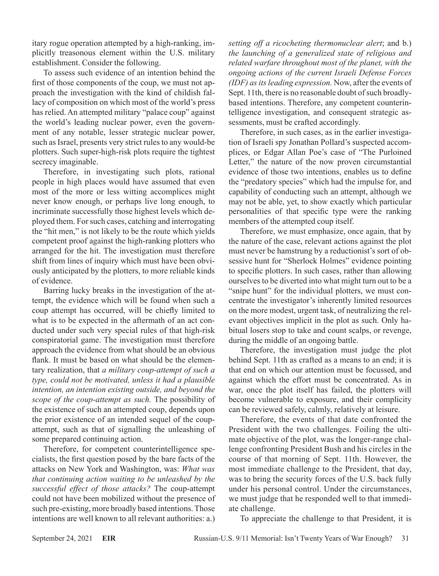itary rogue operation attempted by a high-ranking, implicitly treasonous element within the U.S. military establishment. Consider the following.

To assess such evidence of an intention behind the first of those components of the coup, we must not approach the investigation with the kind of childish fallacy of composition on which most of the world's press has relied. An attempted military "palace coup" against the world's leading nuclear power, even the government of any notable, lesser strategic nuclear power, such as Israel, presents very strict rules to any would-be plotters. Such super-high-risk plots require the tightest secrecy imaginable.

Therefore, in investigating such plots, rational people in high places would have assumed that even most of the more or less witting accomplices might never know enough, or perhaps live long enough, to incriminate successfully those highest levels which deployed them. For such cases, catching and interrogating the "hit men," is not likely to be the route which yields competent proof against the high-ranking plotters who arranged for the hit. The investigation must therefore shift from lines of inquiry which must have been obviously anticipated by the plotters, to more reliable kinds of evidence.

Barring lucky breaks in the investigation of the attempt, the evidence which will be found when such a coup attempt has occurred, will be chiefly limited to what is to be expected in the aftermath of an act conducted under such very special rules of that high-risk conspiratorial game. The investigation must therefore approach the evidence from what should be an obvious flank. It must be based on what should be the elementary realization, that *a military coup-attempt of such a type, could not be motivated, unless it had a plausible intention, an intention existing outside, and beyond the scope of the coup-attempt as such.* The possibility of the existence of such an attempted coup, depends upon the prior existence of an intended sequel of the coupattempt, such as that of signalling the unleashing of some prepared continuing action.

Therefore, for competent counterintelligence specialists, the first question posed by the bare facts of the attacks on New York and Washington, was: *What was that continuing action waiting to be unleashed by the successful effect of those attacks?* The coup-attempt could not have been mobilized without the presence of such pre-existing, more broadly based intentions. Those intentions are well known to all relevant authorities: a.)

*setting off a ricocheting thermonuclear alert*; and b.) *the launching of a generalized state of religious and related warfare throughout most of the planet, with the ongoing actions of the current Israeli Defense Forces (IDF) as its leading expression.* Now, after the events of Sept. 11th, there is no reasonable doubt of such broadlybased intentions. Therefore, any competent counterintelligence investigation, and consequent strategic assessments, must be crafted accordingly.

Therefore, in such cases, as in the earlier investigation of Israeli spy Jonathan Pollard's suspected accomplices, or Edgar Allan Poe's case of "The Purloined Letter," the nature of the now proven circumstantial evidence of those two intentions, enables us to define the "predatory species" which had the impulse for, and capability of conducting such an attempt, although we may not be able, yet, to show exactly which particular personalities of that specific type were the ranking members of the attempted coup itself.

Therefore, we must emphasize, once again, that by the nature of the case, relevant actions against the plot must never be hamstrung by a reductionist's sort of obsessive hunt for "Sherlock Holmes" evidence pointing to specific plotters. In such cases, rather than allowing ourselves to be diverted into what might turn out to be a "snipe hunt" for the individual plotters, we must concentrate the investigator's inherently limited resources on the more modest, urgent task, of neutralizing the relevant objectives implicit in the plot as such. Only habitual losers stop to take and count scalps, or revenge, during the middle of an ongoing battle.

Therefore, the investigation must judge the plot behind Sept. 11th as crafted as a means to an end; it is that end on which our attention must be focussed, and against which the effort must be concentrated. As in war, once the plot itself has failed, the plotters will become vulnerable to exposure, and their complicity can be reviewed safely, calmly, relatively at leisure.

Therefore, the events of that date confronted the President with the two challenges. Foiling the ultimate objective of the plot, was the longer-range challenge confronting President Bush and his circles in the course of that morning of Sept. 11th. However, the most immediate challenge to the President, that day, was to bring the security forces of the U.S. back fully under his personal control. Under the circumstances, we must judge that he responded well to that immediate challenge.

To appreciate the challenge to that President, it is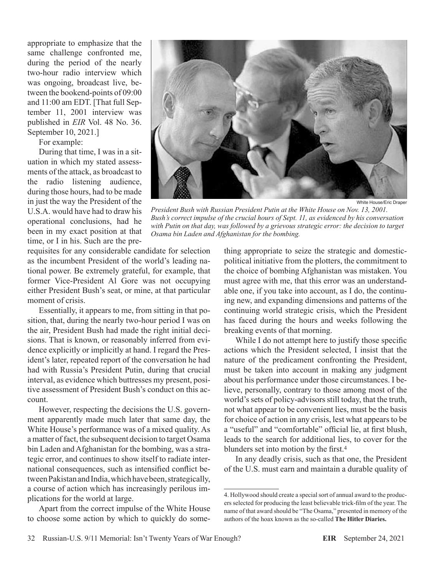appropriate to emphasize that the same challenge confronted me, during the period of the nearly two-hour radio interview which was ongoing, broadcast live, between the bookend-points of 09:00 and 11:00 am EDT. [That full September 11, 2001 interview was published in *EIR* Vol. 48 No. 36. September 10, 2021.]

For example:

During that time, I was in a situation in which my stated assessments of the attack, as broadcast to the radio listening audience, during those hours, had to be made in just the way the President of the U.S.A. would have had to draw his operational conclusions, had he been in my exact position at that time, or I in his. Such are the pre-



White House/Eric Draper

*President Bush with Russian President Putin at the White House on Nov. 13, 2001. Bush's correct impulse of the crucial hours of Sept. 11, as evidenced by his conversation*  with Putin on that day, was followed by a grievous strategic error: the decision to target *Osama bin Laden and Afghanistan for the bombing.*

requisites for any considerable candidate for selection as the incumbent President of the world's leading national power. Be extremely grateful, for example, that former Vice-President Al Gore was not occupying either President Bush's seat, or mine, at that particular moment of crisis.

Essentially, it appears to me, from sitting in that position, that, during the nearly two-hour period I was on the air, President Bush had made the right initial decisions. That is known, or reasonably inferred from evidence explicitly or implicitly at hand. I regard the President's later, repeated report of the conversation he had had with Russia's President Putin, during that crucial interval, as evidence which buttresses my present, positive assessment of President Bush's conduct on this account.

However, respecting the decisions the U.S. government apparently made much later that same day, the White House's performance was of a mixed quality. As a matter of fact, the subsequent decision to target Osama bin Laden and Afghanistan for the bombing, was a strategic error, and continues to show itself to radiate international consequences, such as intensified conflict between Pakistan and India, which have been, strategically, a course of action which has increasingly perilous implications for the world at large.

Apart from the correct impulse of the White House to choose some action by which to quickly do something appropriate to seize the strategic and domesticpolitical initiative from the plotters, the commitment to the choice of bombing Afghanistan was mistaken. You must agree with me, that this error was an understandable one, if you take into account, as I do, the continuing new, and expanding dimensions and patterns of the continuing world strategic crisis, which the President has faced during the hours and weeks following the breaking events of that morning.

While I do not attempt here to justify those specific actions which the President selected, I insist that the nature of the predicament confronting the President, must be taken into account in making any judgment about his performance under those circumstances. I believe, personally, contrary to those among most of the world's sets of policy-advisors still today, that the truth, not what appear to be convenient lies, must be the basis for choice of action in any crisis, lest what appears to be a "useful" and "comfortable" official lie, at first blush, leads to the search for additional lies, to cover for the blunders set into motion by the first.<sup>4</sup>

In any deadly crisis, such as that one, the President of the U.S. must earn and maintain a durable quality of

<sup>4.</sup> Hollywood should create a special sort of annual award to the producers selected for producing the least believable trick-film of the year. The name of that award should be "The Osama," presented in memory of the authors of the hoax known as the so-called **The Hitler Diaries.**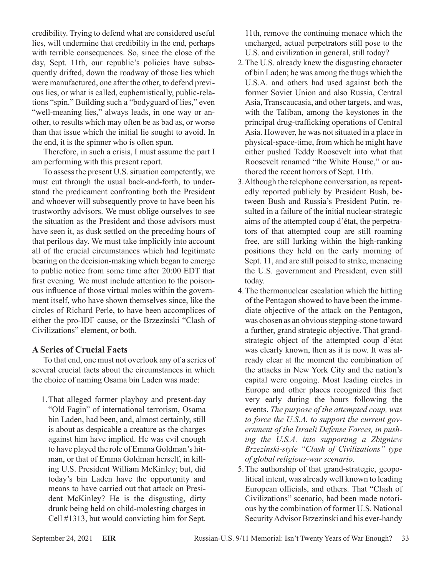credibility. Trying to defend what are considered useful lies, will undermine that credibility in the end, perhaps with terrible consequences. So, since the close of the day, Sept. 11th, our republic's policies have subsequently drifted, down the roadway of those lies which were manufactured, one after the other, to defend previous lies, or what is called, euphemistically, public-relations "spin." Building such a "bodyguard of lies," even "well-meaning lies," always leads, in one way or another, to results which may often be as bad as, or worse than that issue which the initial lie sought to avoid. In the end, it is the spinner who is often spun.

Therefore, in such a crisis, I must assume the part I am performing with this present report.

To assess the present U.S. situation competently, we must cut through the usual back-and-forth, to understand the predicament confronting both the President and whoever will subsequently prove to have been his trustworthy advisors. We must oblige ourselves to see the situation as the President and those advisors must have seen it, as dusk settled on the preceding hours of that perilous day. We must take implicitly into account all of the crucial circumstances which had legitimate bearing on the decision-making which began to emerge to public notice from some time after 20:00 EDT that first evening. We must include attention to the poisonous influence of those virtual moles within the government itself, who have shown themselves since, like the circles of Richard Perle, to have been accomplices of either the pro-IDF cause, or the Brzezinski "Clash of Civilizations" element, or both.

## **A Series of Crucial Facts**

To that end, one must not overlook any of a series of several crucial facts about the circumstances in which the choice of naming Osama bin Laden was made:

1. That alleged former playboy and present-day "Old Fagin" of international terrorism, Osama bin Laden, had been, and, almost certainly, still is about as despicable a creature as the charges against him have implied. He was evil enough to have played the role of Emma Goldman's hitman, or that of Emma Goldman herself, in killing U.S. President William McKinley; but, did today's bin Laden have the opportunity and means to have carried out that attack on President McKinley? He is the disgusting, dirty drunk being held on child-molesting charges in Cell #1313, but would convicting him for Sept.

11th, remove the continuing menace which the uncharged, actual perpetrators still pose to the U.S. and civilization in general, still today?

- 2. The U.S. already knew the disgusting character of bin Laden; he was among the thugs which the U.S.A. and others had used against both the former Soviet Union and also Russia, Central Asia, Transcaucasia, and other targets, and was, with the Taliban, among the keystones in the principal drug-trafficking operations of Central Asia. However, he was not situated in a place in physical-space-time, from which he might have either pushed Teddy Roosevelt into what that Roosevelt renamed "the White House," or authored the recent horrors of Sept. 11th.
- 3. Although the telephone conversation, as repeatedly reported publicly by President Bush, between Bush and Russia's President Putin, resulted in a failure of the initial nuclear-strategic aims of the attempted coup d'état, the perpetrators of that attempted coup are still roaming free, are still lurking within the high-ranking positions they held on the early morning of Sept. 11, and are still poised to strike, menacing the U.S. government and President, even still today.
- 4. The thermonuclear escalation which the hitting of the Pentagon showed to have been the immediate objective of the attack on the Pentagon, was chosen as an obvious stepping-stone toward a further, grand strategic objective. That grandstrategic object of the attempted coup d'état was clearly known, then as it is now. It was already clear at the moment the combination of the attacks in New York City and the nation's capital were ongoing. Most leading circles in Europe and other places recognized this fact very early during the hours following the events. *The purpose of the attempted coup, was to force the U.S.A. to support the current government of the Israeli Defense Forces, in pushing the U.S.A. into supporting a Zbigniew Brzezinski-style "Clash of Civilizations" type of global religious-war scenario.*
- 5. The authorship of that grand-strategic, geopolitical intent, was already well known to leading European officials, and others. That "Clash of Civilizations" scenario, had been made notorious by the combination of former U.S. National Security Advisor Brzezinski and his ever-handy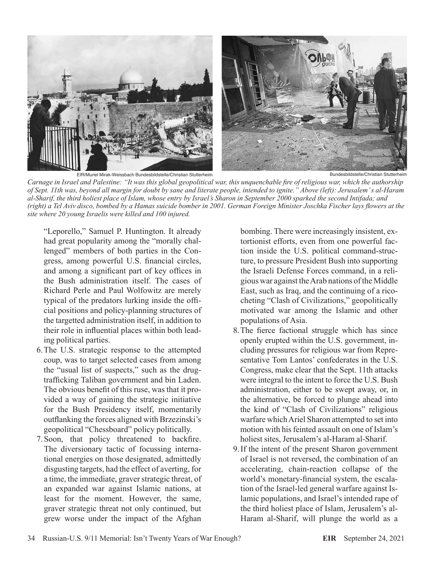

EIR/Muriel Mirak-Weissbach Bundesbildstelle/Christian Stutterheim

Bundesbildstelle/Christian Stutterheim

*Carnage in Israel and Palestine: "It was this global geopolitical war, this unquenchable fire of religious war, which the authorship of Sept. 11th was, beyond all margin for doubt by sane and literate people, intended to ignite." Above (left): Jerusalem' s al-Haram al-Sharif, the third holiest place of Islam, whose entry by Israel's Sharon in September 2000 sparked the second Intifada; and (right) a Tel Aviv disco, bombed by a Hamas suicide bomber in 2001. German Foreign Minister Joschka Fischer lays flowers at the site where 20 young Israelis were killed and 100 injured.*

"Leporello," Samuel P. Huntington. It already had great popularity among the "morally challenged" members of both parties in the Congress, among powerful U.S. financial circles, and among a significant part of key offices in the Bush administration itself. The cases of Richard Perle and Paul Wolfowitz are merely typical of the predators lurking inside the official positions and policy-planning structures of the targetted administration itself, in addition to their role in influential places within both leading political parties.

- 6. The U.S. strategic response to the attempted coup, was to target selected cases from among the "usual list of suspects," such as the drugtrafficking Taliban government and bin Laden. The obvious benefit of this ruse, was that it provided a way of gaining the strategic initiative for the Bush Presidency itself, momentarily outflanking the forces aligned with Brzezinski's geopolitical "Chessboard" policy politically.
- 7.  Soon, that policy threatened to backfire. The diversionary tactic of focussing international energies on those designated, admittedly disgusting targets, had the effect of averting, for a time, the immediate, graver strategic threat, of an expanded war against Islamic nations, at least for the moment. However, the same, graver strategic threat not only continued, but grew worse under the impact of the Afghan

bombing. There were increasingly insistent, extortionist efforts, even from one powerful faction inside the U.S. political command-structure, to pressure President Bush into supporting the Israeli Defense Forces command, in a religious war against the Arab nations of the Middle East, such as Iraq, and the continuing of a ricocheting "Clash of Civilizations," geopolitically motivated war among the Islamic and other populations of Asia.

- 8.  The fierce factional struggle which has since openly erupted within the U.S. government, including pressures for religious war from Representative Tom Lantos' confederates in the U.S. Congress, make clear that the Sept. 11th attacks were integral to the intent to force the U.S. Bush administration, either to be swept away, or, in the alternative, be forced to plunge ahead into the kind of "Clash of Civilizations" religious warfare which Ariel Sharon attempted to set into motion with his feinted assault on one of Islam's holiest sites, Jerusalem's al-Haram al-Sharif.
- 9. If the intent of the present Sharon government of Israel is not reversed, the combination of an accelerating, chain-reaction collapse of the world's monetary-financial system, the escalation of the Israel-led general warfare against Islamic populations, and Israel's intended rape of the third holiest place of Islam, Jerusalem's al-Haram al-Sharif, will plunge the world as a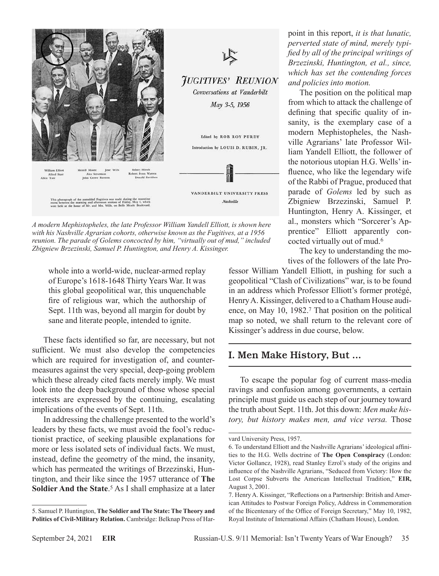

*A modern Mephistopheles, the late Professor William Yandell Elliott, is shown here with his Nashville Agrarian cohorts, otherwise known as the Fugitives, at a 1956 reunion. The parade of Golems concocted by him, "virtually out of mud," included Zbigniew Brzezinski, Samuel P. Huntington, and Henry A. Kissinger.*

whole into a world-wide, nuclear-armed replay of Europe's 1618-1648 Thirty Years War. It was this global geopolitical war, this unquenchable fire of religious war, which the authorship of Sept. 11th was, beyond all margin for doubt by sane and literate people, intended to ignite.

These facts identified so far, are necessary, but not sufficient. We must also develop the competencies which are required for investigation of, and countermeasures against the very special, deep-going problem which these already cited facts merely imply. We must look into the deep background of those whose special interests are expressed by the continuing, escalating implications of the events of Sept. 11th.

In addressing the challenge presented to the world's leaders by these facts, we must avoid the fool's reductionist practice, of seeking plausible explanations for more or less isolated sets of individual facts. We must, instead, define the geometry of the mind, the insanity, which has permeated the writings of Brzezinski, Huntington, and their like since the 1957 utterance of **The Soldier And the State**. 5 As I shall emphasize at a later

point in this report, *it is that lunatic, perverted state of mind, merely typified by all of the principal writings of Brzezinski, Huntington, et al., since, which has set the contending forces and policies into motion.*

The position on the political map from which to attack the challenge of defining that specific quality of insanity, is the exemplary case of a modern Mephistopheles, the Nashville Agrarians' late Professor William Yandell Elliott, the follower of the notorious utopian H.G. Wells' influence, who like the legendary wife of the Rabbi of Prague, produced that parade of *Golems* led by such as Zbigniew Brzezinski, Samuel P. Huntington, Henry A. Kissinger, et al., monsters which "Sorcerer's Apprentice" Elliott apparently concocted virtually out of mud.6

The key to understanding the motives of the followers of the late Pro-

fessor William Yandell Elliott, in pushing for such a geopolitical "Clash of Civilizations" war, is to be found in an address which Professor Elliott's former protégé, Henry A. Kissinger, delivered to a Chatham House audience, on May 10, 1982.7 That position on the political map so noted, we shall return to the relevant core of Kissinger's address in due course, below.

## I. Men Make History, But ...

To escape the popular fog of current mass-media ravings and confusion among governments, a certain principle must guide us each step of our journey toward the truth about Sept. 11th. Jot this down: *Men make history, but history makes men, and vice versa.* Those

<sup>5.</sup> Samuel P. Huntington, **The Soldier and The State: The Theory and Politics of Civil-Military Relation.** Cambridge: Belknap Press of Har-

vard University Press, 1957.

<sup>6.</sup> To understand Elliott and the Nashville Agrarians' ideological affinities to the H.G. Wells doctrine of **The Open Conspiracy** (London: Victor Gollancz, 1928), read Stanley Ezrol's study of the origins and influence of the Nashville Agrarians, "Seduced from Victory: How the Lost Corpse Subverts the American Intellectual Tradition," **EIR,** August 3, 2001.

<sup>7.</sup> Henry A. Kissinger, "Reflections on a Partnership: British and American Attitudes to Postwar Foreign Policy, Address in Commemoration of the Bicentenary of the Office of Foreign Secretary," May 10, 1982, Royal Institute of International Affairs (Chatham House), London.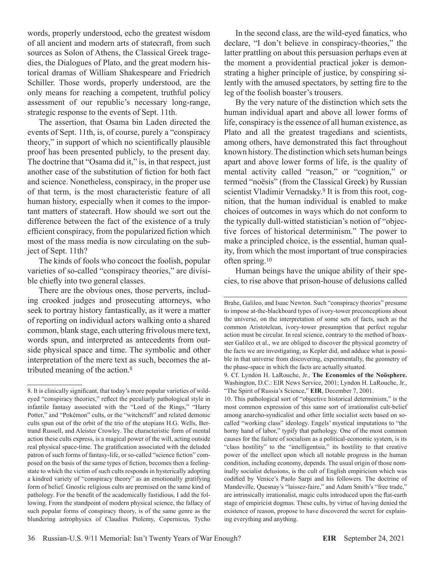words, properly understood, echo the greatest wisdom of all ancient and modern arts of statecraft, from such sources as Solon of Athens, the Classical Greek tragedies, the Dialogues of Plato, and the great modern historical dramas of William Shakespeare and Friedrich Schiller. Those words, properly understood, are the only means for reaching a competent, truthful policy assessment of our republic's necessary long-range, strategic response to the events of Sept. 11th.

The assertion, that Osama bin Laden directed the events of Sept. 11th, is, of course, purely a "conspiracy theory," in support of which no scientifically plausible proof has been presented publicly, to the present day. The doctrine that "Osama did it," is, in that respect, just another case of the substitution of fiction for both fact and science. Nonetheless, conspiracy, in the proper use of that term, is the most characteristic feature of all human history, especially when it comes to the important matters of statecraft. How should we sort out the difference between the fact of the existence of a truly efficient conspiracy, from the popularized fiction which most of the mass media is now circulating on the subject of Sept. 11th?

The kinds of fools who concoct the foolish, popular varieties of so-called "conspiracy theories," are divisible chiefly into two general classes.

There are the obvious ones, those perverts, including crooked judges and prosecuting attorneys, who seek to portray history fantastically, as it were a matter of reporting on individual actors walking onto a shared common, blank stage, each uttering frivolous mere text, words spun, and interpreted as antecedents from outside physical space and time. The symbolic and other interpretation of the mere text as such, becomes the attributed meaning of the action.8

In the second class, are the wild-eyed fanatics, who declare, "I don't believe in conspiracy-theories," the latter prattling on about this persuasion perhaps even at the moment a providential practical joker is demonstrating a higher principle of justice, by conspiring silently with the amused spectators, by setting fire to the leg of the foolish boaster's trousers.

By the very nature of the distinction which sets the human individual apart and above all lower forms of life, conspiracy is the essence of all human existence, as Plato and all the greatest tragedians and scientists, among others, have demonstrated this fact throughout known history. The distinction which sets human beings apart and above lower forms of life, is the quality of mental activity called "reason," or "cognition," or termed "noësis" (from the Classical Greek) by Russian scientist Vladimir Vernadsky.<sup>9</sup> It is from this root, cognition, that the human individual is enabled to make choices of outcomes in ways which do not conform to the typically dull-witted statistician's notion of "objective forces of historical determinism." The power to make a principled choice, is the essential, human quality, from which the most important of true conspiracies often spring.10

Human beings have the unique ability of their species, to rise above that prison-house of delusions called

<sup>8.</sup> It is clinically significant, that today's more popular varieties of wildeyed "conspiracy theories," reflect the peculiarly pathological style in infantile fantasy associated with the "Lord of the Rings," "Harry Potter," and "Pokémon" cults, or the "witchcraft" and related demonic cults spun out of the orbit of the trio of the utopians H.G. Wells, Bertrand Russell, and Aleister Crowley. The characteristic form of mental action these cults express, is a magical power of the will, acting outside real physical space-time. The gratification associated with the deluded patron of such forms of fantasy-life, or so-called "science fiction" composed on the basis of the same types of fiction, becomes then a feelingstate to which the victim of such cults responds in hysterically adopting a kindred variety of "conspiracy theory" as an emotionally gratifying form of belief. Gnostic religious cults are premised on the same kind of pathology. For the benefit of the academically fastidious, I add the following. From the standpoint of modern physical science, the fallacy of such popular forms of conspiracy theory, is of the same genre as the blundering astrophysics of Claudius Ptolemy, Copernicus, Tycho

Brahe, Galileo, and Isaac Newton. Such "conspiracy theories" presume to impose at-the-blackboard types of ivory-tower preconceptions about the universe, on the interpretation of some sets of facts, such as the common Aristotelean, ivory-tower presumption that perfect regular action must be circular. In real science, contrary to the method of hoaxster Galileo et al., we are obliged to discover the physical geometry of the facts we are investigating, as Kepler did, and adduce what is possible in that universe from discovering, experimentally, the geometry of the phase-space in which the facts are actually situated.

<sup>9.</sup> Cf. Lyndon H. LaRouche, Jr., **The Economics of the Noösphere.** Washington, D.C.: EIR News Service, 2001; Lyndon H. LaRouche, Jr., "The Spirit of Russia's Science," **EIR**, December 7, 2001.

<sup>10.</sup> This pathological sort of "objective historical determinism," is the most common expression of this same sort of irrationalist cult-belief among anarcho-syndicalist and other little socialist sects based on socalled "working class" ideology. Engels' mystical imputations to "the horny hand of labor," typify that pathology. One of the most common causes for the failure of socialism as a political-economic system, is its "class hostility" to the "intelligentsia," its hostility to that creative power of the intellect upon which all notable progress in the human condition, including economy, depends. The usual origin of those nominally socialist delusions, is the cult of English empiricism which was codified by Venice's Paolo Sarpi and his followers. The doctrine of Mandeville, Quesnay's "laissez-faire," and Adam Smith's "free trade," are intrinsically irrationalist, magic cults introduced upon the flat-earth stage of empiricist dogmas. These cults, by virtue of having denied the existence of reason, propose to have discovered the secret for explaining everything and anything.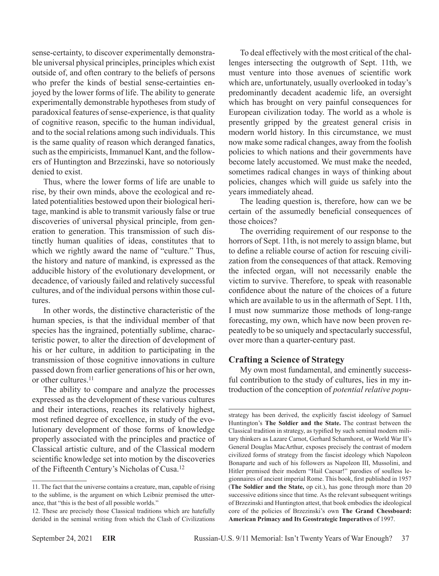sense-certainty, to discover experimentally demonstrable universal physical principles, principles which exist outside of, and often contrary to the beliefs of persons who prefer the kinds of bestial sense-certainties enjoyed by the lower forms of life. The ability to generate experimentally demonstrable hypotheses from study of paradoxical features of sense-experience, is that quality of cognitive reason, specific to the human individual, and to the social relations among such individuals. This is the same quality of reason which deranged fanatics, such as the empiricists, Immanuel Kant, and the followers of Huntington and Brzezinski, have so notoriously denied to exist.

Thus, where the lower forms of life are unable to rise, by their own minds, above the ecological and related potentialities bestowed upon their biological heritage, mankind is able to transmit variously false or true discoveries of universal physical principle, from generation to generation. This transmission of such distinctly human qualities of ideas, constitutes that to which we rightly award the name of "culture." Thus, the history and nature of mankind, is expressed as the adducible history of the evolutionary development, or decadence, of variously failed and relatively successful cultures, and of the individual persons within those cultures.

In other words, the distinctive characteristic of the human species, is that the individual member of that species has the ingrained, potentially sublime, characteristic power, to alter the direction of development of his or her culture, in addition to participating in the transmission of those cognitive innovations in culture passed down from earlier generations of his or her own, or other cultures.<sup>11</sup>

The ability to compare and analyze the processes expressed as the development of these various cultures and their interactions, reaches its relatively highest, most refined degree of excellence, in study of the evolutionary development of those forms of knowledge properly associated with the principles and practice of Classical artistic culture, and of the Classical modern scientific knowledge set into motion by the discoveries of the Fifteenth Century's Nicholas of Cusa.12

To deal effectively with the most critical of the challenges intersecting the outgrowth of Sept. 11th, we must venture into those avenues of scientific work which are, unfortunately, usually overlooked in today's predominantly decadent academic life, an oversight which has brought on very painful consequences for European civilization today. The world as a whole is presently gripped by the greatest general crisis in modern world history. In this circumstance, we must now make some radical changes, away from the foolish policies to which nations and their governments have become lately accustomed. We must make the needed, sometimes radical changes in ways of thinking about policies, changes which will guide us safely into the years immediately ahead.

The leading question is, therefore, how can we be certain of the assumedly beneficial consequences of those choices?

The overriding requirement of our response to the horrors of Sept. 11th, is not merely to assign blame, but to define a reliable course of action for rescuing civilization from the consequences of that attack. Removing the infected organ, will not necessarily enable the victim to survive. Therefore, to speak with reasonable confidence about the nature of the choices of a future which are available to us in the aftermath of Sept. 11th, I must now summarize those methods of long-range forecasting, my own, which have now been proven repeatedly to be so uniquely and spectacularly successful, over more than a quarter-century past.

## **Crafting a Science of Strategy**

My own most fundamental, and eminently successful contribution to the study of cultures, lies in my introduction of the conception of *potential relative popu-*

strategy has been derived, the explicitly fascist ideology of Samuel Huntington's **The Soldier and the State.** The contrast between the Classical tradition in strategy, as typified by such seminal modern military thinkers as Lazare Carnot, Gerhard Scharnhorst, or World War II's General Douglas MacArthur, exposes precisely the contrast of modern civilized forms of strategy from the fascist ideology which Napoleon Bonaparte and such of his followers as Napoleon III, Mussolini, and Hitler premised their modern "Hail Caesar!" parodies of soulless legionnaires of ancient imperial Rome. This book, first published in 1957 (**The Soldier and the State,** op cit.), has gone through more than 20 successive editions since that time. As the relevant subsequent writings of Brzezinski and Huntington attest, that book embodies the ideological core of the policies of Brzezinski's own **The Grand Chessboard: American Primacy and Its Geostrategic Imperatives** of 1997.

<sup>11.</sup> The fact that the universe contains a creature, man, capable of rising to the sublime, is the argument on which Leibniz premised the utterance, that "this is the best of all possible worlds."

<sup>12.</sup> These are precisely those Classical traditions which are hatefully derided in the seminal writing from which the Clash of Civilizations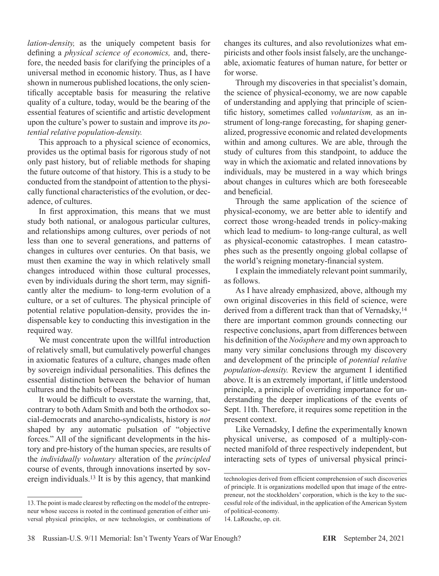*lation-density,* as the uniquely competent basis for defining a *physical science of economics,* and, therefore, the needed basis for clarifying the principles of a universal method in economic history. Thus, as I have shown in numerous published locations, the only scientifically acceptable basis for measuring the relative quality of a culture, today, would be the bearing of the essential features of scientific and artistic development upon the culture's power to sustain and improve its *potential relative population-density.*

This approach to a physical science of economics, provides us the optimal basis for rigorous study of not only past history, but of reliable methods for shaping the future outcome of that history. This is a study to be conducted from the standpoint of attention to the physically functional characteristics of the evolution, or decadence, of cultures.

In first approximation, this means that we must study both national, or analogous particular cultures, and relationships among cultures, over periods of not less than one to several generations, and patterns of changes in cultures over centuries. On that basis, we must then examine the way in which relatively small changes introduced within those cultural processes, even by individuals during the short term, may significantly alter the medium- to long-term evolution of a culture, or a set of cultures. The physical principle of potential relative population-density, provides the indispensable key to conducting this investigation in the required way.

We must concentrate upon the willful introduction of relatively small, but cumulatively powerful changes in axiomatic features of a culture, changes made often by sovereign individual personalities. This defines the essential distinction between the behavior of human cultures and the habits of beasts.

It would be difficult to overstate the warning, that, contrary to both Adam Smith and both the orthodox social-democrats and anarcho-syndicalists, history is *not* shaped by any automatic pulsation of "objective forces." All of the significant developments in the history and pre-history of the human species, are results of the *individually voluntary* alteration of the *principled* course of events, through innovations inserted by sovereign individuals.13 It is by this agency, that mankind

changes its cultures, and also revolutionizes what empiricists and other fools insist falsely, are the unchangeable, axiomatic features of human nature, for better or for worse.

Through my discoveries in that specialist's domain, the science of physical-economy, we are now capable of understanding and applying that principle of scientific history, sometimes called *voluntarism,* as an instrument of long-range forecasting, for shaping generalized, progressive economic and related developments within and among cultures. We are able, through the study of cultures from this standpoint, to adduce the way in which the axiomatic and related innovations by individuals, may be mustered in a way which brings about changes in cultures which are both foreseeable and beneficial.

Through the same application of the science of physical-economy, we are better able to identify and correct those wrong-headed trends in policy-making which lead to medium- to long-range cultural, as well as physical-economic catastrophes. I mean catastrophes such as the presently ongoing global collapse of the world's reigning monetary-financial system.

I explain the immediately relevant point summarily, as follows.

As I have already emphasized, above, although my own original discoveries in this field of science, were derived from a different track than that of Vernadsky,<sup>14</sup> there are important common grounds connecting our respective conclusions, apart from differences between his definition of the *Noösphere* and my own approach to many very similar conclusions through my discovery and development of the principle of *potential relative population-density.* Review the argument I identified above. It is an extremely important, if little understood principle, a principle of overriding importance for understanding the deeper implications of the events of Sept. 11th. Therefore, it requires some repetition in the present context.

Like Vernadsky, I define the experimentally known physical universe, as composed of a multiply-connected manifold of three respectively independent, but interacting sets of types of universal physical princi-

<sup>13.</sup> The point is made clearest by reflecting on the model of the entrepreneur whose success is rooted in the continued generation of either universal physical principles, or new technologies, or combinations of

technologies derived from efficient comprehension of such discoveries of principle. It is organizations modelled upon that image of the entrepreneur, not the stockholders' corporation, which is the key to the successful role of the individual, in the application of the American System of political-economy.

<sup>14.</sup> LaRouche, op. cit.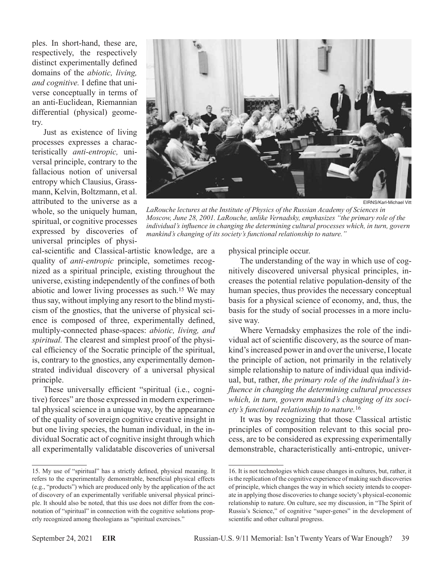ples. In short-hand, these are, respectively, the respectively distinct experimentally defined domains of the *abiotic, living, and cognitive.* I define that universe conceptually in terms of an anti-Euclidean, Riemannian differential (physical) geometry.

Just as existence of living processes expresses a characteristically *anti-entropic,* universal principle, contrary to the fallacious notion of universal entropy which Clausius, Grassmann, Kelvin, Boltzmann, et al. attributed to the universe as a whole, so the uniquely human, spiritual, or cognitive processes expressed by discoveries of universal principles of physi-



EIRNS/Karl-Michael Vitt

*LaRouche lectures at the Institute of Physics of the Russian Academy of Sciences in Moscow, June 28, 2001. LaRouche, unlike Vernadsky, emphasizes "the primary role of the individual's influence in changing the determining cultural processes which, in turn, govern mankind's changing of its society's functional relationship to nature."*

cal-scientific and Classical-artistic knowledge, are a quality of *anti-entropic* principle, sometimes recognized as a spiritual principle, existing throughout the universe, existing independently of the confines of both abiotic and lower living processes as such.15 We may thus say, without implying any resort to the blind mysticism of the gnostics, that the universe of physical science is composed of three, experimentally defined, multiply-connected phase-spaces: *abiotic, living, and spiritual.* The clearest and simplest proof of the physical efficiency of the Socratic principle of the spiritual, is, contrary to the gnostics, any experimentally demonstrated individual discovery of a universal physical principle.

These universally efficient "spiritual (i.e., cognitive) forces" are those expressed in modern experimental physical science in a unique way, by the appearance of the quality of sovereign cognitive creative insight in but one living species, the human individual, in the individual Socratic act of cognitive insight through which all experimentally validatable discoveries of universal physical principle occur.

The understanding of the way in which use of cognitively discovered universal physical principles, increases the potential relative population-density of the human species, thus provides the necessary conceptual basis for a physical science of economy, and, thus, the basis for the study of social processes in a more inclusive way.

Where Vernadsky emphasizes the role of the individual act of scientific discovery, as the source of mankind's increased power in and over the universe, I locate the principle of action, not primarily in the relatively simple relationship to nature of individual qua individual, but, rather, *the primary role of the individual's influence in changing the determining cultural processes which, in turn, govern mankind's changing of its society's functional relationship to nature.*<sup>16</sup>

It was by recognizing that those Classical artistic principles of composition relevant to this social process, are to be considered as expressing experimentally demonstrable, characteristically anti-entropic, univer-

<sup>15.</sup> My use of "spiritual" has a strictly defined, physical meaning. It refers to the experimentally demonstrable, beneficial physical effects (e.g., "products") which are produced only by the application of the act of discovery of an experimentally verifiable universal physical principle. It should also be noted, that this use does not differ from the connotation of "spiritual" in connection with the cognitive solutions properly recognized among theologians as "spiritual exercises."

<sup>16.</sup> It is not technologies which cause changes in cultures, but, rather, it is the replication of the cognitive experience of making such discoveries of principle, which changes the way in which society intends to cooperate in applying those discoveries to change society's physical-economic relationship to nature. On culture, see my discussion, in "The Spirit of Russia's Science," of cognitive "super-genes" in the development of scientific and other cultural progress.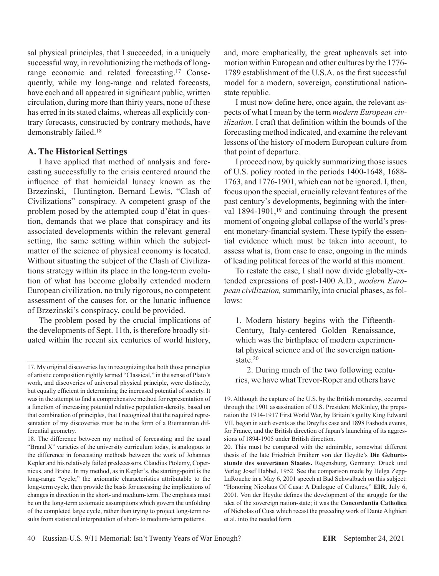sal physical principles, that I succeeded, in a uniquely successful way, in revolutionizing the methods of longrange economic and related forecasting.17 Consequently, while my long-range and related forecasts, have each and all appeared in significant public, written circulation, during more than thirty years, none of these has erred in its stated claims, whereas all explicitly contrary forecasts, constructed by contrary methods, have demonstrably failed.18

## **A. The Historical Settings**

I have applied that method of analysis and forecasting successfully to the crisis centered around the influence of that homicidal lunacy known as the Brzezinski, Huntington, Bernard Lewis, "Clash of Civilizations" conspiracy. A competent grasp of the problem posed by the attempted coup d'état in question, demands that we place that conspiracy and its associated developments within the relevant general setting, the same setting within which the subjectmatter of the science of physical economy is located. Without situating the subject of the Clash of Civilizations strategy within its place in the long-term evolution of what has become globally extended modern European civilization, no truly rigorous, no competent assessment of the causes for, or the lunatic influence of Brzezinski's conspiracy, could be provided.

The problem posed by the crucial implications of the developments of Sept. 11th, is therefore broadly situated within the recent six centuries of world history,

and, more emphatically, the great upheavals set into motion within European and other cultures by the 1776- 1789 establishment of the U.S.A. as the first successful model for a modern, sovereign, constitutional nationstate republic.

I must now define here, once again, the relevant aspects of what I mean by the term *modern European civilization.* I craft that definition within the bounds of the forecasting method indicated, and examine the relevant lessons of the history of modern European culture from that point of departure.

I proceed now, by quickly summarizing those issues of U.S. policy rooted in the periods 1400-1648, 1688- 1763, and 1776-1901, which can not be ignored. I, then, focus upon the special, crucially relevant features of the past century's developments, beginning with the interval 1894-1901,<sup>19</sup> and continuing through the present moment of ongoing global collapse of the world's present monetary-financial system. These typify the essential evidence which must be taken into account, to assess what is, from case to case, ongoing in the minds of leading political forces of the world at this moment.

To restate the case, I shall now divide globally-extended expressions of post-1400 A.D., *modern European civilization,* summarily, into crucial phases, as follows:

1. Modern history begins with the Fifteenth-Century, Italy-centered Golden Renaissance, which was the birthplace of modern experimental physical science and of the sovereign nationstate.<sup>20</sup>

2. During much of the two following centuries, we have what Trevor-Roper and others have

<sup>17.</sup> My original discoveries lay in recognizing that both those principles of artistic composition rightly termed "Classical," in the sense of Plato's work, and discoveries of universal physical principle, were distinctly, but equally efficient in determining the increased potential of society. It was in the attempt to find a comprehensive method for representation of a function of increasing potential relative population-density, based on that combination of principles, that I recognized that the required representation of my discoveries must be in the form of a Riemannian differential geometry.

<sup>18.</sup> The difference between my method of forecasting and the usual "Brand X" varieties of the university curriculum today, is analogous to the difference in forecasting methods between the work of Johannes Kepler and his relatively failed predecessors, Claudius Ptolemy, Copernicus, and Brahe. In my method, as in Kepler's, the starting-point is the long-range "cycle;" the axiomatic characteristics attributable to the long-term cycle, then provide the basis for assessing the implications of changes in direction in the short- and medium-term. The emphasis must be on the long-term axiomatic assumptions which govern the unfolding of the completed large cycle, rather than trying to project long-term results from statistical interpretation of short- to medium-term patterns.

<sup>19.</sup> Although the capture of the U.S. by the British monarchy, occurred through the 1901 assassination of U.S. President McKinley, the preparation the 1914-1917 First World War, by Britain's guilty King Edward VII, began in such events as the Dreyfus case and 1898 Fashoda events, for France, and the British direction of Japan's launching of its aggressions of 1894-1905 under British direction.

<sup>20.</sup> This must be compared with the admirable, somewhat different thesis of the late Friedrich Freiherr von der Heydte's **Die Geburtsstunde des souveränen Staates.** Regensburg, Germany: Druck und Verlag Josef Habbel, 1952. See the comparison made by Helga Zepp-LaRouche in a May 6, 2001 speech at Bad Schwalbach on this subject: "Honoring Nicolaus Of Cusa: A Dialogue of Cultures," **EIR,** July 6, 2001. Von der Heydte defines the development of the struggle for the idea of the sovereign nation-state; it was the **Concordantia Catholica** of Nicholas of Cusa which recast the preceding work of Dante Alighieri et al. into the needed form.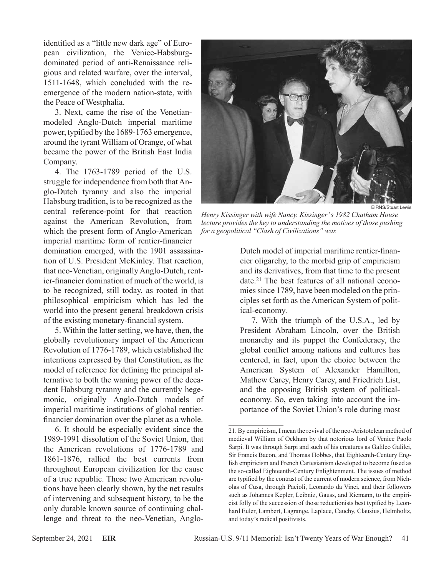identified as a "little new dark age" of European civilization, the Venice-Habsburgdominated period of anti-Renaissance religious and related warfare, over the interval, 1511-1648, which concluded with the reemergence of the modern nation-state, with the Peace of Westphalia.

3. Next, came the rise of the Venetianmodeled Anglo-Dutch imperial maritime power, typified by the 1689-1763 emergence, around the tyrant William of Orange, of what became the power of the British East India Company.

4. The 1763-1789 period of the U.S. struggle for independence from both that Anglo-Dutch tyranny and also the imperial Habsburg tradition, is to be recognized as the central reference-point for that reaction against the American Revolution, from which the present form of Anglo-American imperial maritime form of rentier-financier

domination emerged, with the 1901 assassination of U.S. President McKinley. That reaction, that neo-Venetian, originally Anglo-Dutch, rentier-financier domination of much of the world, is to be recognized, still today, as rooted in that philosophical empiricism which has led the world into the present general breakdown crisis of the existing monetary-financial system.

5. Within the latter setting, we have, then, the globally revolutionary impact of the American Revolution of 1776-1789, which established the intentions expressed by that Constitution, as the model of reference for defining the principal alternative to both the waning power of the decadent Habsburg tyranny and the currently hegemonic, originally Anglo-Dutch models of imperial maritime institutions of global rentierfinancier domination over the planet as a whole.

6. It should be especially evident since the 1989-1991 dissolution of the Soviet Union, that the American revolutions of 1776-1789 and 1861-1876, rallied the best currents from throughout European civilization for the cause of a true republic. Those two American revolutions have been clearly shown, by the net results of intervening and subsequent history, to be the only durable known source of continuing challenge and threat to the neo-Venetian, Anglo-



EIRNS/Stuart Lewis

*Henry Kissinger with wife Nancy. Kissinger' s 1982 Chatham House lecture provides the key to understanding the motives of those pushing for a geopolitical "Clash of Civilizations" war.*

Dutch model of imperial maritime rentier-financier oligarchy, to the morbid grip of empiricism and its derivatives, from that time to the present date.21 The best features of all national economies since 1789, have been modeled on the principles set forth as the American System of political-economy.

7. With the triumph of the U.S.A., led by President Abraham Lincoln, over the British monarchy and its puppet the Confederacy, the global conflict among nations and cultures has centered, in fact, upon the choice between the American System of Alexander Hamilton, Mathew Carey, Henry Carey, and Friedrich List, and the opposing British system of politicaleconomy. So, even taking into account the importance of the Soviet Union's role during most

<sup>21.</sup> By empiricism, I mean the revival of the neo-Aristotelean method of medieval William of Ockham by that notorious lord of Venice Paolo Sarpi. It was through Sarpi and such of his creatures as Galileo Galilei, Sir Francis Bacon, and Thomas Hobbes, that Eighteenth-Century English empiricism and French Cartesianism developed to become fused as the so-called Eighteenth-Century Enlightenment. The issues of method are typified by the contrast of the current of modern science, from Nicholas of Cusa, through Pacioli, Leonardo da Vinci, and their followers such as Johannes Kepler, Leibniz, Gauss, and Riemann, to the empiricist folly of the succession of those reductionists best typified by Leonhard Euler, Lambert, Lagrange, Laplace, Cauchy, Clausius, Helmholtz, and today's radical positivists.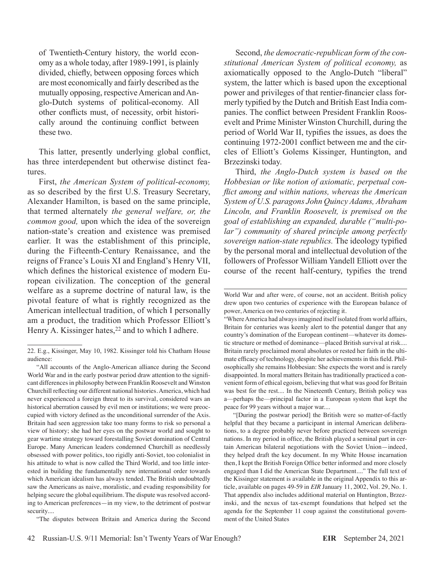of Twentieth-Century history, the world economy as a whole today, after 1989-1991, is plainly divided, chiefly, between opposing forces which are most economically and fairly described as the mutually opposing, respective American and Anglo-Dutch systems of political-economy. All other conflicts must, of necessity, orbit historically around the continuing conflict between these two.

This latter, presently underlying global conflict, has three interdependent but otherwise distinct features.

First, *the American System of political-economy,* as so described by the first U.S. Treasury Secretary, Alexander Hamilton, is based on the same principle, that termed alternately *the general welfare, or, the common good,* upon which the idea of the sovereign nation-state's creation and existence was premised earlier. It was the establishment of this principle, during the Fifteenth-Century Renaissance, and the reigns of France's Louis XI and England's Henry VII, which defines the historical existence of modern European civilization. The conception of the general welfare as a supreme doctrine of natural law, is the pivotal feature of what is rightly recognized as the American intellectual tradition, of which I personally am a product, the tradition which Professor Elliott's Henry A. Kissinger hates,<sup>22</sup> and to which I adhere.

"The disputes between Britain and America during the Second

Second, *the democratic-republican form of the constitutional American System of political economy,* as axiomatically opposed to the Anglo-Dutch "liberal" system, the latter which is based upon the exceptional power and privileges of that rentier-financier class formerly typified by the Dutch and British East India companies. The conflict between President Franklin Roosevelt and Prime Minister Winston Churchill, during the period of World War II, typifies the issues, as does the continuing 1972-2001 conflict between me and the circles of Elliott's Golems Kissinger, Huntington, and Brzezinski today.

Third, *the Anglo-Dutch system is based on the Hobbesian or like notion of axiomatic, perpetual conflict among and within nations, whereas the American System of U.S. paragons John Quincy Adams, Abraham Lincoln, and Franklin Roosevelt, is premised on the goal of establishing an expanded, durable ("multi-polar") community of shared principle among perfectly sovereign nation-state republics.* The ideology typified by the personal moral and intellectual devolution of the followers of Professor William Yandell Elliott over the course of the recent half-century, typifies the trend

"[During the postwar period] the British were so matter-of-factly helpful that they became a participant in internal American deliberations, to a degree probably never before practiced between sovereign nations. In my period in office, the British played a seminal part in certain American bilateral negotiations with the Soviet Union—indeed, they helped draft the key document. In my White House incarnation then, I kept the British Foreign Office better informed and more closely engaged than I did the American State Department...." The full text of the Kissinger statement is available in the original Appendix to this article, available on pages 49-59 in *EIR* January 11, 2002, Vol. 29, No. 1. That appendix also includes additional material on Huntington, Brzezinski, and the nexus of tax-exempt foundations that helped set the agenda for the September 11 coup against the constitutional government of the United States

<sup>22.</sup> E.g., Kissinger, May 10, 1982. Kissinger told his Chatham House audience:

<sup>&</sup>quot;All accounts of the Anglo-American alliance during the Second World War and in the early postwar period draw attention to the significant differences in philosophy between Franklin Roosevelt and Winston Churchill reflecting our different national histories. America, which had never experienced a foreign threat to its survival, considered wars an historical aberration caused by evil men or institutions; we were preoccupied with victory defined as the unconditional surrender of the Axis. Britain had seen aggression take too many forms to risk so personal a view of history; she had her eyes on the postwar world and sought to gear wartime strategy toward forestalling Soviet domination of Central Europe. Many American leaders condemned Churchill as needlessly obsessed with power politics, too rigidly anti-Soviet, too colonialist in his attitude to what is now called the Third World, and too little interested in building the fundamentally new international order towards which American idealism has always tended. The British undoubtedly saw the Americans as naive, moralistic, and evading responsibility for helping secure the global equilibrium. The dispute was resolved according to American preferences—in my view, to the detriment of postwar security....

World War and after were, of course, not an accident. British policy drew upon two centuries of experience with the European balance of power, America on two centuries of rejecting it.

<sup>&</sup>quot;Where America had always imagined itself isolated from world affairs, Britain for centuries was keenly alert to the potential danger that any country's domination of the European continent—whatever its domestic structure or method of dominance—placed British survival at risk.... Britain rarely proclaimed moral absolutes or rested her faith in the ultimate efficacy of technology, despite her achievements in this field. Philosophically she remains Hobbesian: She expects the worst and is rarely disappointed. In moral matters Britain has traditionally practiced a convenient form of ethical egoism, believing that what was good for Britain was best for the rest.... In the Nineteenth Century, British policy was a—perhaps the—principal factor in a European system that kept the peace for 99 years without a major war....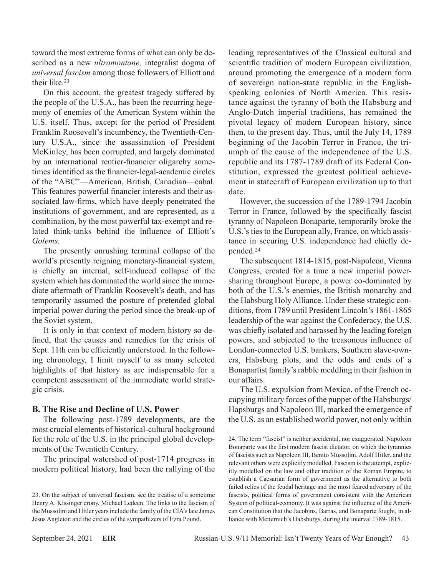toward the most extreme forms of what can only be described as a new *ultramontane,* integralist dogma of *universal fascism* among those followers of Elliott and their like.23

On this account, the greatest tragedy suffered by the people of the U.S.A., has been the recurring hegemony of enemies of the American System within the U.S. itself. Thus, except for the period of President Franklin Roosevelt's incumbency, the Twentieth-Century U.S.A., since the assassination of President McKinley, has been corrupted, and largely dominated by an international rentier-financier oligarchy sometimes identified as the financier-legal-academic circles of the "ABC"—American, British, Canadian—cabal. This features powerful financier interests and their associated law-firms, which have deeply penetrated the institutions of government, and are represented, as a combination, by the most powerful tax-exempt and related think-tanks behind the influence of Elliott's *Golems.*

The presently onrushing terminal collapse of the world's presently reigning monetary-financial system, is chiefly an internal, self-induced collapse of the system which has dominated the world since the immediate aftermath of Franklin Roosevelt's death, and has temporarily assumed the posture of pretended global imperial power during the period since the break-up of the Soviet system.

It is only in that context of modern history so defined, that the causes and remedies for the crisis of Sept. 11th can be efficiently understood. In the following chronology, I limit myself to as many selected highlights of that history as are indispensable for a competent assessment of the immediate world strategic crisis.

## **B. The Rise and Decline of U.S. Power**

The following post-1789 developments, are the most crucial elements of historical-cultural background for the role of the U.S. in the principal global developments of the Twentieth Century.

The principal watershed of post-1714 progress in modern political history, had been the rallying of the leading representatives of the Classical cultural and scientific tradition of modern European civilization, around promoting the emergence of a modern form of sovereign nation-state republic in the Englishspeaking colonies of North America. This resistance against the tyranny of both the Habsburg and Anglo-Dutch imperial traditions, has remained the pivotal legacy of modern European history, since then, to the present day. Thus, until the July 14, 1789 beginning of the Jacobin Terror in France, the triumph of the cause of the independence of the U.S. republic and its 1787-1789 draft of its Federal Constitution, expressed the greatest political achievement in statecraft of European civilization up to that date.

However, the succession of the 1789-1794 Jacobin Terror in France, followed by the specifically fascist tyranny of Napoleon Bonaparte, temporarily broke the U.S.'s ties to the European ally, France, on which assistance in securing U.S. independence had chiefly depended.24

The subsequent 1814-1815, post-Napoleon, Vienna Congress, created for a time a new imperial powersharing throughout Europe, a power co-dominated by both of the U.S.'s enemies, the British monarchy and the Habsburg Holy Alliance. Under these strategic conditions, from 1789 until President Lincoln's 1861-1865 leadership of the war against the Confederacy, the U.S. was chiefly isolated and harassed by the leading foreign powers, and subjected to the treasonous influence of London-connected U.S. bankers, Southern slave-owners, Habsburg plots, and the odds and ends of a Bonapartist family's rabble meddling in their fashion in our affairs.

The U.S. expulsion from Mexico, of the French occupying military forces of the puppet of the Habsburgs/ Hapsburgs and Napoleon III, marked the emergence of the U.S. as an established world power, not only within

<sup>23.</sup> On the subject of universal fascism, see the treatise of a sometime Henry A. Kissinger crony, Michael Ledeen. The links to the fascism of the Mussolini and Hitler years include the family of the CIA's late James Jesus Angleton and the circles of the sympathizers of Ezra Pound.

<sup>24.</sup> The term "fascist" is neither accidental, nor exaggerated. Napoleon Bonaparte was the first modern fascist dictator, on which the tyrannies of fascists such as Napoleon III, Benito Mussolini, Adolf Hitler, and the relevant others were explicitly modelled. Fascism is the attempt, explicitly modelled on the law and other tradition of the Roman Empire, to establish a Caesarian form of government as the alternative to both failed relics of the feudal heritage and the most feared adversary of the fascists, political forms of government consistent with the American System of political-economy. It was against the influence of the American Constitution that the Jacobins, Barras, and Bonaparte fought, in alliance with Metternich's Habsburgs, during the interval 1789-1815.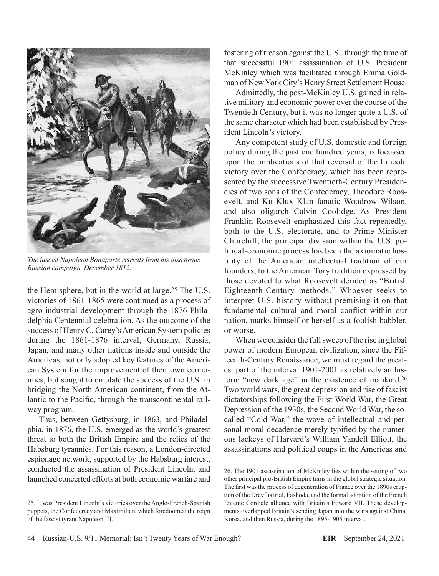

*The fascist Napoleon Bonaparte retreats from his disastrous Russian campaign, December 1812.*

the Hemisphere, but in the world at large.25 The U.S. victories of 1861-1865 were continued as a process of agro-industrial development through the 1876 Philadelphia Centennial celebration. As the outcome of the success of Henry C. Carey's American System policies during the 1861-1876 interval, Germany, Russia, Japan, and many other nations inside and outside the Americas, not only adopted key features of the American System for the improvement of their own economies, but sought to emulate the success of the U.S. in bridging the North American continent, from the Atlantic to the Pacific, through the transcontinental railway program.

Thus, between Gettysburg, in 1863, and Philadelphia, in 1876, the U.S. emerged as the world's greatest threat to both the British Empire and the relics of the Habsburg tyrannies. For this reason, a London-directed espionage network, supported by the Habsburg interest, conducted the assassination of President Lincoln, and launched concerted efforts at both economic warfare and

fostering of treason against the U.S., through the time of that successful 1901 assassination of U.S. President McKinley which was facilitated through Emma Goldman of New York City's Henry Street Settlement House.

Admittedly, the post-McKinley U.S. gained in relative military and economic power over the course of the Twentieth Century, but it was no longer quite a U.S. of the same character which had been established by President Lincoln's victory.

Any competent study of U.S. domestic and foreign policy during the past one hundred years, is focussed upon the implications of that reversal of the Lincoln victory over the Confederacy, which has been represented by the successive Twentieth-Century Presidencies of two sons of the Confederacy, Theodore Roosevelt, and Ku Klux Klan fanatic Woodrow Wilson, and also oligarch Calvin Coolidge. As President Franklin Roosevelt emphasized this fact repeatedly, both to the U.S. electorate, and to Prime Minister Churchill, the principal division within the U.S. political-economic process has been the axiomatic hostility of the American intellectual tradition of our founders, to the American Tory tradition expressed by those devoted to what Roosevelt derided as "British Eighteenth-Century methods." Whoever seeks to interpret U.S. history without premising it on that fundamental cultural and moral conflict within our nation, marks himself or herself as a foolish babbler, or worse.

When we consider the full sweep of the rise in global power of modern European civilization, since the Fifteenth-Century Renaissance, we must regard the greatest part of the interval 1901-2001 as relatively an historic "new dark age" in the existence of mankind.26 Two world wars, the great depression and rise of fascist dictatorships following the First World War, the Great Depression of the 1930s, the Second World War, the socalled "Cold War," the wave of intellectual and personal moral decadence merely typified by the numerous lackeys of Harvard's William Yandell Elliott, the assassinations and political coups in the Americas and

<sup>25.</sup> It was President Lincoln's victories over the Anglo-French-Spanish puppets, the Confederacy and Maximilian, which foredoomed the reign of the fascist tyrant Napoleon III.

<sup>26.</sup> The 1901 assassination of McKinley lies within the setting of two other principal pro-British Empire turns in the global strategic situation. The first was the process of degeneration of France over the 1890s eruption of the Dreyfus trial, Fashoda, and the formal adoption of the French Entente Cordiale alliance with Britain's Edward VII. These developments overlapped Britain's sending Japan into the wars against China, Korea, and then Russia, during the 1895-1905 interval.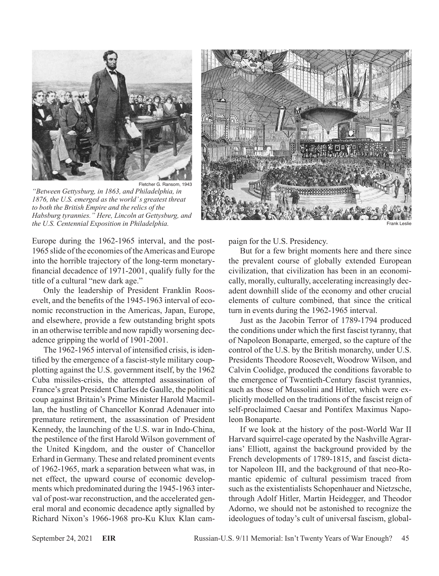

*"Between Gettysburg, in 1863, and Philadelphia, in 1876, the U.S. emerged as the world' s greatest threat to both the British Empire and the relics of the Habsburg tyrannies." Here, Lincoln at Gettysburg, and the U.S. Centennial Exposition in Philadelphia.* Frank Leslie **Frank Leslie Company of the U.S. Centennial Exposition in Philadelphia.** 

Europe during the 1962-1965 interval, and the post-1965 slide of the economies of the Americas and Europe into the horrible trajectory of the long-term monetaryfinancial decadence of 1971-2001, qualify fully for the title of a cultural "new dark age."

Only the leadership of President Franklin Roosevelt, and the benefits of the 1945-1963 interval of economic reconstruction in the Americas, Japan, Europe, and elsewhere, provide a few outstanding bright spots in an otherwise terrible and now rapidly worsening decadence gripping the world of 1901-2001.

The 1962-1965 interval of intensified crisis, is identified by the emergence of a fascist-style military coupplotting against the U.S. government itself, by the 1962 Cuba missiles-crisis, the attempted assassination of France's great President Charles de Gaulle, the political coup against Britain's Prime Minister Harold Macmillan, the hustling of Chancellor Konrad Adenauer into premature retirement, the assassination of President Kennedy, the launching of the U.S. war in Indo-China, the pestilence of the first Harold Wilson government of the United Kingdom, and the ouster of Chancellor Erhard in Germany. These and related prominent events of 1962-1965, mark a separation between what was, in net effect, the upward course of economic developments which predominated during the 1945-1963 interval of post-war reconstruction, and the accelerated general moral and economic decadence aptly signalled by Richard Nixon's 1966-1968 pro-Ku Klux Klan cam-



paign for the U.S. Presidency.

But for a few bright moments here and there since the prevalent course of globally extended European civilization, that civilization has been in an economically, morally, culturally, accelerating increasingly decadent downhill slide of the economy and other crucial elements of culture combined, that since the critical turn in events during the 1962-1965 interval.

Just as the Jacobin Terror of 1789-1794 produced the conditions under which the first fascist tyranny, that of Napoleon Bonaparte, emerged, so the capture of the control of the U.S. by the British monarchy, under U.S. Presidents Theodore Roosevelt, Woodrow Wilson, and Calvin Coolidge, produced the conditions favorable to the emergence of Twentieth-Century fascist tyrannies, such as those of Mussolini and Hitler, which were explicitly modelled on the traditions of the fascist reign of self-proclaimed Caesar and Pontifex Maximus Napoleon Bonaparte.

If we look at the history of the post-World War II Harvard squirrel-cage operated by the Nashville Agrarians' Elliott, against the background provided by the French developments of 1789-1815, and fascist dictator Napoleon III, and the background of that neo-Romantic epidemic of cultural pessimism traced from such as the existentialists Schopenhauer and Nietzsche, through Adolf Hitler, Martin Heidegger, and Theodor Adorno, we should not be astonished to recognize the ideologues of today's cult of universal fascism, global-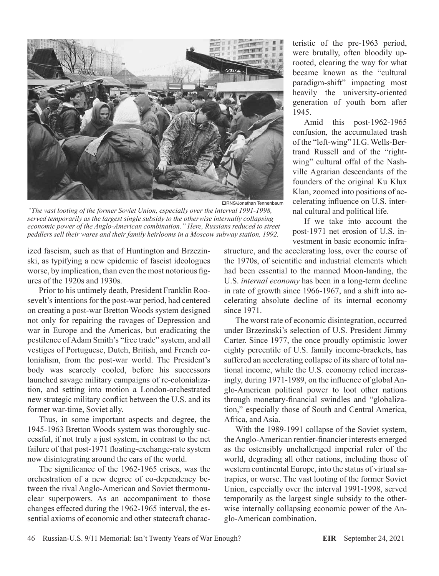

*"The vast looting of the former Soviet Union, especially over the interval 1991-1998, served temporarily as the largest single subsidy to the otherwise internally collapsing economic power of the Anglo-American combination." Here, Russians reduced to street peddlers sell their wares and their family heirlooms in a Moscow subway station, 1992.*

ized fascism, such as that of Huntington and Brzezinski, as typifying a new epidemic of fascist ideologues worse, by implication, than even the most notorious figures of the 1920s and 1930s.

Prior to his untimely death, President Franklin Roosevelt's intentions for the post-war period, had centered on creating a post-war Bretton Woods system designed not only for repairing the ravages of Depression and war in Europe and the Americas, but eradicating the pestilence of Adam Smith's "free trade" system, and all vestiges of Portuguese, Dutch, British, and French colonialism, from the post-war world. The President's body was scarcely cooled, before his successors launched savage military campaigns of re-colonialization, and setting into motion a London-orchestrated new strategic military conflict between the U.S. and its former war-time, Soviet ally.

Thus, in some important aspects and degree, the 1945-1963 Bretton Woods system was thoroughly successful, if not truly a just system, in contrast to the net failure of that post-1971 floating-exchange-rate system now disintegrating around the ears of the world.

The significance of the 1962-1965 crises, was the orchestration of a new degree of co-dependency between the rival Anglo-American and Soviet thermonuclear superpowers. As an accompaniment to those changes effected during the 1962-1965 interval, the essential axioms of economic and other statecraft charac-

teristic of the pre-1963 period, were brutally, often bloodily uprooted, clearing the way for what became known as the "cultural paradigm-shift" impacting most heavily the university-oriented generation of youth born after 1945.

Amid this post-1962-1965 confusion, the accumulated trash of the "left-wing" H.G. Wells-Bertrand Russell and of the "rightwing" cultural offal of the Nashville Agrarian descendants of the founders of the original Ku Klux Klan, zoomed into positions of accelerating influence on U.S. internal cultural and political life.

If we take into account the post-1971 net erosion of U.S. investment in basic economic infra-

structure, and the accelerating loss, over the course of the 1970s, of scientific and industrial elements which had been essential to the manned Moon-landing, the U.S. *internal economy* has been in a long-term decline in rate of growth since 1966-1967, and a shift into accelerating absolute decline of its internal economy since 1971.

The worst rate of economic disintegration, occurred under Brzezinski's selection of U.S. President Jimmy Carter. Since 1977, the once proudly optimistic lower eighty percentile of U.S. family income-brackets, has suffered an accelerating collapse of its share of total national income, while the U.S. economy relied increasingly, during 1971-1989, on the influence of global Anglo-American political power to loot other nations through monetary-financial swindles and "globalization," especially those of South and Central America, Africa, and Asia.

With the 1989-1991 collapse of the Soviet system, the Anglo-American rentier-financier interests emerged as the ostensibly unchallenged imperial ruler of the world, degrading all other nations, including those of western continental Europe, into the status of virtual satrapies, or worse. The vast looting of the former Soviet Union, especially over the interval 1991-1998, served temporarily as the largest single subsidy to the otherwise internally collapsing economic power of the Anglo-American combination.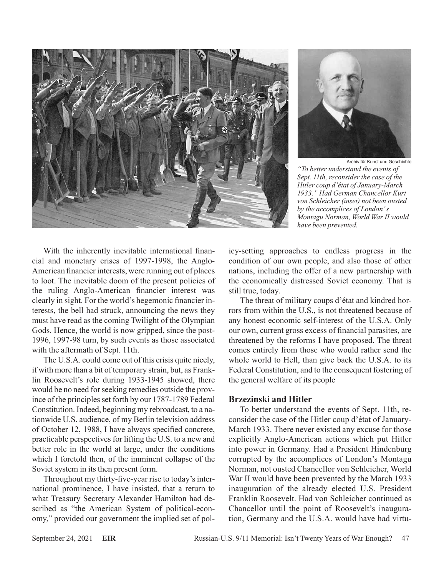



Archiv für Kunst und Geschichte *"To better understand the events of Sept. 11th, reconsider the case of the Hitler coup d'état of January-March 1933." Had German Chancellor Kurt von Schleicher (inset) not been ousted by the accomplices of London' s Montagu Norman, World War II would have been prevented.*

With the inherently inevitable international financial and monetary crises of 1997-1998, the Anglo-American financier interests, were running out of places to loot. The inevitable doom of the present policies of the ruling Anglo-American financier interest was clearly in sight. For the world's hegemonic financier interests, the bell had struck, announcing the news they must have read as the coming Twilight of the Olympian Gods. Hence, the world is now gripped, since the post-1996, 1997-98 turn, by such events as those associated with the aftermath of Sept. 11th.

The U.S.A. could come out of this crisis quite nicely, if with more than a bit of temporary strain, but, as Franklin Roosevelt's role during 1933-1945 showed, there would be no need for seeking remedies outside the province of the principles set forth by our 1787-1789 Federal Constitution. Indeed, beginning my rebroadcast, to a nationwide U.S. audience, of my Berlin television address of October 12, 1988, I have always specified concrete, practicable perspectives for lifting the U.S. to a new and better role in the world at large, under the conditions which I foretold then, of the imminent collapse of the Soviet system in its then present form.

Throughout my thirty-five-year rise to today's international prominence, I have insisted, that a return to what Treasury Secretary Alexander Hamilton had described as "the American System of political-economy," provided our government the implied set of policy-setting approaches to endless progress in the condition of our own people, and also those of other nations, including the offer of a new partnership with the economically distressed Soviet economy. That is still true, today.

The threat of military coups d'état and kindred horrors from within the U.S., is not threatened because of any honest economic self-interest of the U.S.A. Only our own, current gross excess of financial parasites, are threatened by the reforms I have proposed. The threat comes entirely from those who would rather send the whole world to Hell, than give back the U.S.A. to its Federal Constitution, and to the consequent fostering of the general welfare of its people

## **Brzezinski and Hitler**

To better understand the events of Sept. 11th, reconsider the case of the Hitler coup d'état of January-March 1933. There never existed any excuse for those explicitly Anglo-American actions which put Hitler into power in Germany. Had a President Hindenburg corrupted by the accomplices of London's Montagu Norman, not ousted Chancellor von Schleicher, World War II would have been prevented by the March 1933 inauguration of the already elected U.S. President Franklin Roosevelt. Had von Schleicher continued as Chancellor until the point of Roosevelt's inauguration, Germany and the U.S.A. would have had virtu-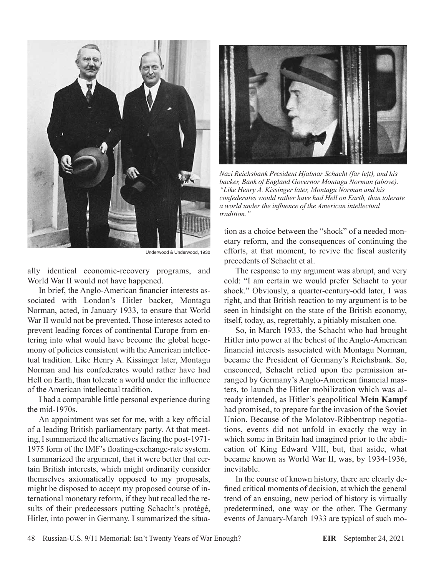

Underwood & Underwood, 1930

ally identical economic-recovery programs, and World War II would not have happened.

In brief, the Anglo-American financier interests associated with London's Hitler backer, Montagu Norman, acted, in January 1933, to ensure that World War II would not be prevented. Those interests acted to prevent leading forces of continental Europe from entering into what would have become the global hegemony of policies consistent with the American intellectual tradition. Like Henry A. Kissinger later, Montagu Norman and his confederates would rather have had Hell on Earth, than tolerate a world under the influence of the American intellectual tradition.

I had a comparable little personal experience during the mid-1970s.

An appointment was set for me, with a key official of a leading British parliamentary party. At that meeting, I summarized the alternatives facing the post-1971- 1975 form of the IMF's floating-exchange-rate system. I summarized the argument, that it were better that certain British interests, which might ordinarily consider themselves axiomatically opposed to my proposals, might be disposed to accept my proposed course of international monetary reform, if they but recalled the results of their predecessors putting Schacht's protégé, Hitler, into power in Germany. I summarized the situa-



*Nazi Reichsbank President Hjalmar Schacht (far left), and his backer, Bank of England Governor Montagu Norman (above). "Like Henry A. Kissinger later, Montagu Norman and his confederates would rather have had Hell on Earth, than tolerate a world under the influence of the American intellectual tradition."*

tion as a choice between the "shock" of a needed monetary reform, and the consequences of continuing the efforts, at that moment, to revive the fiscal austerity precedents of Schacht et al.

The response to my argument was abrupt, and very cold: "I am certain we would prefer Schacht to your shock." Obviously, a quarter-century-odd later, I was right, and that British reaction to my argument is to be seen in hindsight on the state of the British economy, itself, today, as, regrettably, a pitiably mistaken one.

So, in March 1933, the Schacht who had brought Hitler into power at the behest of the Anglo-American financial interests associated with Montagu Norman, became the President of Germany's Reichsbank. So, ensconced, Schacht relied upon the permission arranged by Germany's Anglo-American financial masters, to launch the Hitler mobilization which was already intended, as Hitler's geopolitical **Mein Kampf** had promised, to prepare for the invasion of the Soviet Union. Because of the Molotov-Ribbentrop negotiations, events did not unfold in exactly the way in which some in Britain had imagined prior to the abdication of King Edward VIII, but, that aside, what became known as World War II, was, by 1934-1936, inevitable.

In the course of known history, there are clearly defined critical moments of decision, at which the general trend of an ensuing, new period of history is virtually predetermined, one way or the other. The Germany events of January-March 1933 are typical of such mo